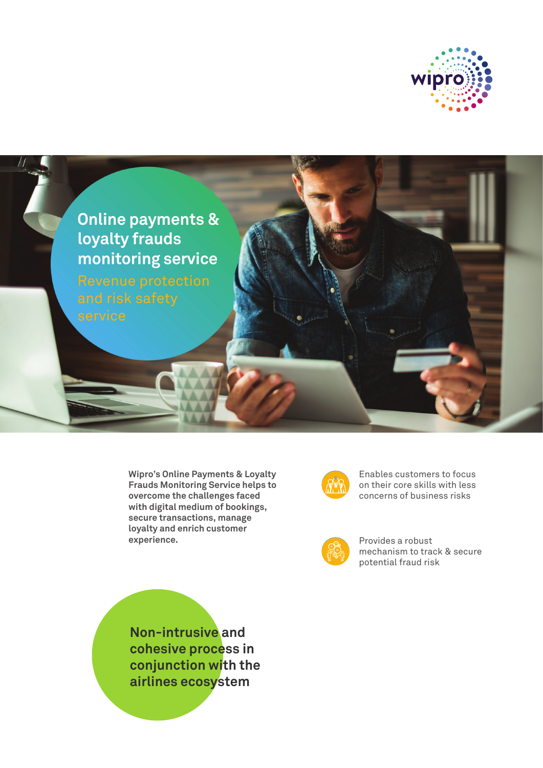



**Wipro's Online Payments & Loyalty Frauds Monitoring Service helps to overcome the challenges faced with digital medium of bookings, secure transactions, manage loyalty and enrich customer experience.**



Enables customers to focus on their core skills with less concerns of business risks



Provides a robust mechanism to track & secure potential fraud risk

**Non-intrusive and cohesive process in conjunction with the airlines ecosystem**